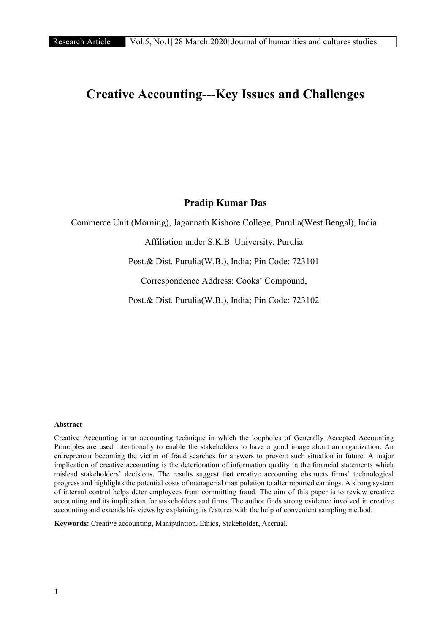# Creative Accounting---Key Issues and Challenges

### Pradip Kumar Das

Commerce Unit (Morning), Jagannath Kishore College, Purulia(West Bengal), India

Affiliation under S.K.B. University, Purulia

Post.& Dist. Purulia(W.B.), India; Pin Code: 723101

Correspondence Address: Cooks' Compound,

Post.& Dist. Purulia(W.B.), India; Pin Code: 723102

### Abstract

Creative Accounting is an accounting technique in which the loopholes of Generally Accepted Accounting Principles are used intentionally to enable the stakeholders to have a good image about an organization. An entrepreneur becoming the victim of fraud searches for answers to prevent such situation in future. A major implication of creative accounting is the deterioration of information quality in the financial statements which mislead stakeholders' decisions. The results suggest that creative accounting obstructs firms' technological progress and highlights the potential costs of managerial manipulation to alter reported earnings. A strong system of internal control helps deter employees from committing fraud. The aim of this paper is to review creative accounting and its implication for stakeholders and firms. The author finds strong evidence involved in creative accounting and extends his views by explaining its features with the help of convenient sampling method.

Keywords: Creative accounting, Manipulation, Ethics, Stakeholder, Accrual.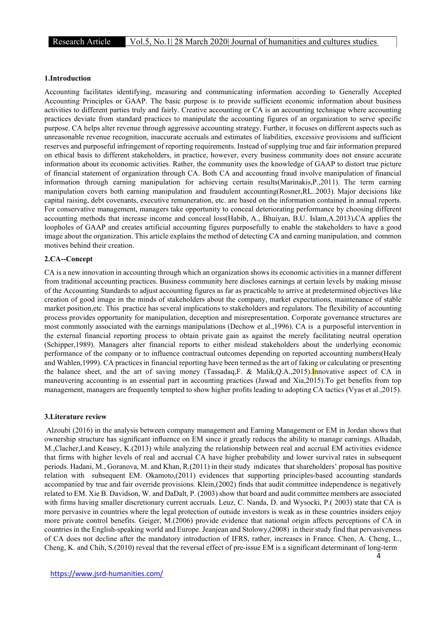### 1.Introduction

Accounting facilitates identifying, measuring and communicating information according to Generally Accepted Accounting Principles or GAAP. The basic purpose is to provide sufficient economic information about business activities to different parties truly and fairly. Creative accounting or CA is an accounting technique where accounting practices deviate from standard practices to manipulate the accounting figures of an organization to serve specific purpose. CA helps alter revenue through aggressive accounting strategy. Further, it focuses on different aspects such as unreasonable revenue recognition, inaccurate accruals and estimates of liabilities, excessive provisions and sufficient reserves and purposeful infringement of reporting requirements. Instead of supplying true and fair information prepared on ethical basis to different stakeholders, in practice, however, every business community does not ensure accurate information about its economic activities. Rather, the community uses the knowledge of GAAP to distort true picture of financial statement of organization through CA. Both CA and accounting fraud involve manipulation of financial information through earning manipulation for achieving certain results(Marinakis,P.,2011). The term earning manipulation covers both earning manipulation and fraudulent accounting(Rosner,RL..2003). Major decisions like capital raising, debt covenants, executive remuneration, etc. are based on the information contained in annual reports. For conservative management, managers take opportunity to conceal deteriorating performance by choosing different accounting methods that increase income and conceal loss(Habib, A., Bhuiyan, B.U. Islam,A.2013).CA applies the loopholes of GAAP and creates artificial accounting figures purposefully to enable the stakeholders to have a good image about the organization. This article explains the method of detecting CA and earning manipulation, and common motives behind their creation.

### 2.CA--Concept

CA is a new innovation in accounting through which an organization shows its economic activities in a manner different from traditional accounting practices. Business community here discloses earnings at certain levels by making misuse of the Accounting Standards to adjust accounting figures as far as practicable to arrive at predetermined objectives like creation of good image in the minds of stakeholders about the company, market expectations, maintenance of stable market position,etc. This practice has several implications to stakeholders and regulators. The flexibility of accounting process provides opportunity for manipulation, deception and misrepresentation. Corporate governance structures are most commonly associated with the earnings manipulations (Dechow et al.,1996). CA is a purposeful intervention in the external financial reporting process to obtain private gain as against the merely facilitating neutral operation (Schipper,1989). Managers alter financial reports to either mislead stakeholders about the underlying economic performance of the company or to influence contractual outcomes depending on reported accounting numbers(Healy and Wahlen,1999). CA practices in financial reporting have been termed as the art of faking or calculating or presenting the balance sheet, and the art of saving money (Tassadaq,F. & Malik,Q.A.,2015).Innovative aspect of CA in maneuvering accounting is an essential part in accounting practices (Jawad and Xia,2015).To get benefits from top management, managers are frequently tempted to show higher profits leading to adopting CA tactics (Vyas et al.,2015).

#### 3.Literature review

Alzoubi (2016) in the analysis between company management and Earning Management or EM in Jordan shows that ownership structure has significant influence on EM since it greatly reduces the ability to manage earnings. Alhadab, M.,Clacher,I.and Keasey, K.(2013) while analyzing the relationship between real and accrual EM activities evidence that firms with higher levels of real and accrual CA have higher probability and lower survival rates in subsequent periods. Hadani, M., Goranova, M. and Khan, R.(2011) in their study indicates that shareholders' proposal has positive relation with subsequent EM. Okamoto,(2011) evidences that supporting principles-based accounting standards accompanied by true and fair override provisions. Klein,(2002) finds that audit committee independence is negatively related to EM. Xie B. Davidson, W. and DaDalt, P. (2003) show that board and audit committee members are associated with firms having smaller discretionary current accruals. Leuz, C. Nanda, D. and Wysocki, P.(2003) state that CA is more pervasive in countries where the legal protection of outside investors is weak as in these countries insiders enjoy more private control benefits. Geiger, M.(2006) provide evidence that national origin affects perceptions of CA in countries in the English-speaking world and Europe. Jeanjean and Stolowy,(2008) in their study find that pervasiveness of CA does not decline after the mandatory introduction of IFRS, rather, increases in France. Chen, A. Cheng, L., Cheng, K. and Chih, S.(2010) reveal that the reversal effect of pre-issue EM is a significant determinant of long-term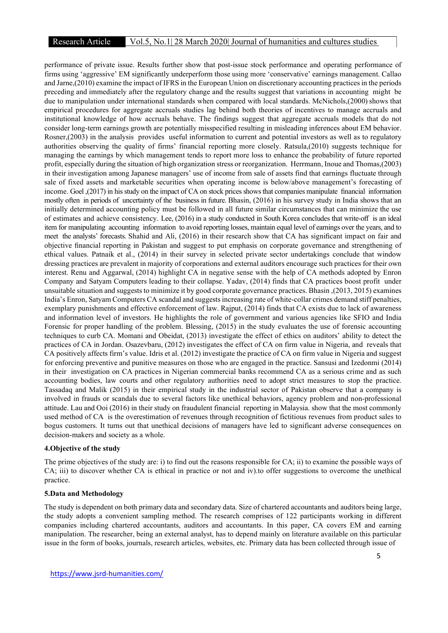### Research Article Vol.5, No.1| 28 March 2020| Journal of humanities and cultures studies

performance of private issue. Results further show that post-issue stock performance and operating performance of firms using 'aggressive' EM significantly underperform those using more 'conservative' earnings management. Callao and Jarne,(2010) examine the impact of IFRS in the European Union on discretionary accounting practices in the periods preceding and immediately after the regulatory change and the results suggest that variations in accounting might be due to manipulation under international standards when compared with local standards. McNichols,(2000) shows that empirical procedures for aggregate accruals studies lag behind both theories of incentives to manage accruals and institutional knowledge of how accruals behave. The findings suggest that aggregate accruals models that do not consider long-term earnings growth are potentially misspecified resulting in misleading inferences about EM behavior. Rosner,(2003) in the analysis provides useful information to current and potential investors as well as to regulatory authorities observing the quality of firms' financial reporting more closely. Ratsula,(2010) suggests technique for managing the earnings by which management tends to report more loss to enhance the probability of future reported profit, especially during the situation of high organization stress or reorganization. Herrmann, Inoue and Thomas,(2003) in their investigation among Japanese managers' use of income from sale of assets find that earnings fluctuate through sale of fixed assets and marketable securities when operating income is below/above management's forecasting of income. Goel ,(2017) in his study on the impact of CA on stock prices shows that companies manipulate financial information mostly often in periods of uncertainty of the business in future. Bhasin, (2016) in his survey study in India shows that an initially determined accounting policy must be followed in all future similar circumstances that can minimize the use of estimates and achieve consistency. Lee, (2016) in a study conducted in South Korea concludes that write-off is an ideal item for manipulating accounting information to avoid reporting losses, maintain equal level of earnings over the years, and to meet the analysts' forecasts. Shahid and Ali, (2016) in their research show that CA has significant impact on fair and objective financial reporting in Pakistan and suggest to put emphasis on corporate governance and strengthening of ethical values. Patnaik et al., (2014) in their survey in selected private sector undertakings conclude that window dressing practices are prevalent in majority of corporations and external auditors encourage such practices for their own interest. Renu and Aggarwal, (2014) highlight CA in negative sense with the help of CA methods adopted by Enron Company and Satyam Computers leading to their collapse. Yadav, (2014) finds that CA practices boost profit under unsuitable situation and suggests to minimize it by good corporate governance practices. Bhasin ,(2013, 2015) examines India's Enron, Satyam Computers CA scandal and suggests increasing rate of white-collar crimes demand stiff penalties, exemplary punishments and effective enforcement of law. Rajput, (2014) finds that CA exists due to lack of awareness and information level of investors. He highlights the role of government and various agencies like SFIO and India Forensic for proper handling of the problem. Blessing, (2015) in the study evaluates the use of forensic accounting techniques to curb CA. Momani and Obeidat, (2013) investigate the effect of ethics on auditors' ability to detect the practices of CA in Jordan. Osazevbaru, (2012) investigates the effect of CA on firm value in Nigeria, and reveals that CA positively affects firm's value. Idris et al. (2012) investigate the practice of CA on firm value in Nigeria and suggest for enforcing preventive and punitive measures on those who are engaged in the practice. Sansusi and Izedonmi (2014) in their investigation on CA practices in Nigerian commercial banks recommend CA as a serious crime and as such accounting bodies, law courts and other regulatory authorities need to adopt strict measures to stop the practice. Tassadaq and Malik (2015) in their empirical study in the industrial sector of Pakistan observe that a company is involved in frauds or scandals due to several factors like unethical behaviors, agency problem and non-professional attitude. Lau and Ooi (2016) in their study on fraudulent financial reporting in Malaysia. show that the most commonly used method of CA is the overestimation of revenues through recognition of fictitious revenues from product sales to bogus customers. It turns out that unethical decisions of managers have led to significant adverse consequences on decision-makers and society as a whole.

### 4.Objective of the study

The prime objectives of the study are: i) to find out the reasons responsible for CA; ii) to examine the possible ways of CA; iii) to discover whether CA is ethical in practice or not and iv).to offer suggestions to overcome the unethical practice.

### 5.Data and Methodology

The study is dependent on both primary data and secondary data. Size of chartered accountants and auditors being large, the study adopts a convenient sampling method. The research comprises of 122 participants working in different companies including chartered accountants, auditors and accountants. In this paper, CA covers EM and earning manipulation. The researcher, being an external analyst, has to depend mainly on literature available on this particular issue in the form of books, journals, research articles, websites, etc. Primary data has been collected through issue of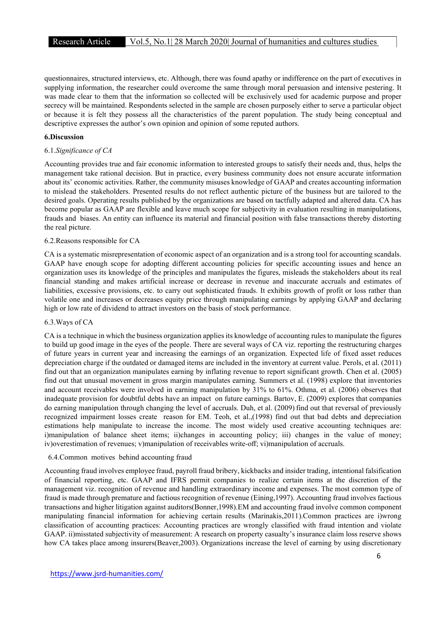questionnaires, structured interviews, etc. Although, there was found apathy or indifference on the part of executives in supplying information, the researcher could overcome the same through moral persuasion and intensive pestering. It was made clear to them that the information so collected will be exclusively used for academic purpose and proper secrecy will be maintained. Respondents selected in the sample are chosen purposely either to serve a particular object or because it is felt they possess all the characteristics of the parent population. The study being conceptual and descriptive expresses the author's own opinion and opinion of some reputed authors.

### 6.Discussion

### 6.1.Significance of CA

Accounting provides true and fair economic information to interested groups to satisfy their needs and, thus, helps the management take rational decision. But in practice, every business community does not ensure accurate information about its' economic activities. Rather, the community misuses knowledge of GAAP and creates accounting information to mislead the stakeholders. Presented results do not reflect authentic picture of the business but are tailored to the desired goals. Operating results published by the organizations are based on tactfully adapted and altered data. CA has become popular as GAAP are flexible and leave much scope for subjectivity in evaluation resulting in manipulations, frauds and biases. An entity can influence its material and financial position with false transactions thereby distorting the real picture.

#### 6.2.Reasons responsible for CA

CA is a systematic misrepresentation of economic aspect of an organization and is a strong tool for accounting scandals. GAAP have enough scope for adopting different accounting policies for specific accounting issues and hence an organization uses its knowledge of the principles and manipulates the figures, misleads the stakeholders about its real financial standing and makes artificial increase or decrease in revenue and inaccurate accruals and estimates of liabilities, excessive provisions, etc. to carry out sophisticated frauds. It exhibits growth of profit or loss rather than volatile one and increases or decreases equity price through manipulating earnings by applying GAAP and declaring high or low rate of dividend to attract investors on the basis of stock performance.

#### 6.3.Ways of CA

CA is a technique in which the business organization applies its knowledge of accounting rules to manipulate the figures to build up good image in the eyes of the people. There are several ways of CA viz. reporting the restructuring charges of future years in current year and increasing the earnings of an organization. Expected life of fixed asset reduces depreciation charge if the outdated or damaged items are included in the inventory at current value. Perols, et al. (2011) find out that an organization manipulates earning by inflating revenue to report significant growth. Chen et al. (2005) find out that unusual movement in gross margin manipulates earning. Summers et al. (1998) explore that inventories and account receivables were involved in earning manipulation by 31% to 61%. Othma, et al. (2006) observes that inadequate provision for doubtful debts have an impact on future earnings. Bartov, E. (2009) explores that companies do earning manipulation through changing the level of accruals. Duh, et al. (2009) find out that reversal of previously recognized impairment losses create reason for EM. Teoh, et al.,(1998) find out that bad debts and depreciation estimations help manipulate to increase the income. The most widely used creative accounting techniques are: i)manipulation of balance sheet items; ii)changes in accounting policy; iii) changes in the value of money; iv)overestimation of revenues; v)manipulation of receivables write-off; vi)manipulation of accruals.

### 6.4.Common motives behind accounting fraud

Accounting fraud involves employee fraud, payroll fraud bribery, kickbacks and insider trading, intentional falsification of financial reporting, etc. GAAP and IFRS permit companies to realize certain items at the discretion of the management viz. recognition of revenue and handling extraordinary income and expenses. The most common type of fraud is made through premature and factious recognition of revenue (Eining,1997). Accounting fraud involves factious transactions and higher litigation against auditors(Bonner,1998).EM and accounting fraud involve common component manipulating financial information for achieving certain results (Marinakis,2011).Common practices are i)wrong classification of accounting practices: Accounting practices are wrongly classified with fraud intention and violate GAAP. ii)misstated subjectivity of measurement: A research on property casualty's insurance claim loss reserve shows how CA takes place among insurers(Beaver, 2003). Organizations increase the level of earning by using discretionary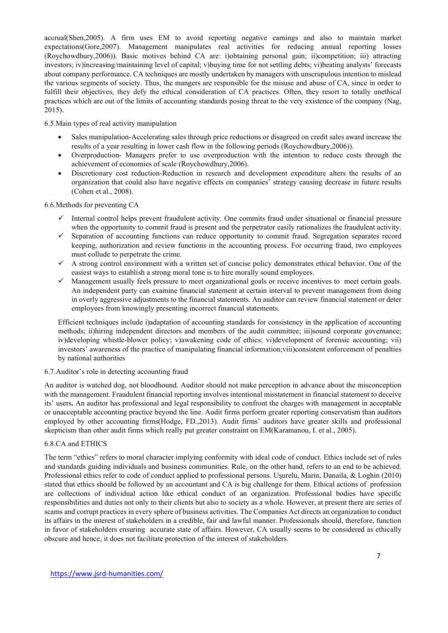accrual(Shen,2005). A firm uses EM to avoid reporting negative earnings and also to maintain market R&D (Roychowdhury,2006)). Basic motives behind CA are: i)obtaining personal gain; ii)competition; iii) attracting expectations(Gore,2007). Management manipulates real activities for reducing annual reporting losses investors; iv)increasing/maintaining level of capital; v)buying time for not settling debts; vi)beating analysts' forecasts about company performance. CA techniques are mostly undertaken by managers with unscrupulous intention to mislead the various segments of society. Thus, the mangers are responsible for the misuse and abuse of CA, since in order to fulfill their objectives, they defy the ethical consideration of CA practices. Often, they resort to totally unethical practices which are out of the limits of accounting standards posing threat to the very existence of the company (Nag, 2015).

6.5.Main types of real activity manipulation

- Sales manipulation-Accelerating sales through price reductions or disagreed on credit sales award increase the results of a year resulting in lower cash flow in the following periods (Roychowdhury,2006)).
- Overproduction- Managers prefer to use overproduction with the intention to reduce costs through the achievement of economies of scale (Roychowdhury,2006).
- Discretionary cost reduction-Reduction in research and development expenditure alters the results of an organization that could also have negative effects on companies' strategy causing decrease in future results (Cohen et al., 2008).

6.6.Methods for preventing CA

- $\checkmark$  Internal control helps prevent fraudulent activity. One commits fraud under situational or financial pressure when the opportunity to commit fraud is present and the perpetrator easily rationalizes the fraudulent activity.
- Separation of accounting functions can reduce opportunity to commit fraud. Segregation separates record keeping, authorization and review functions in the accounting process. For occurring fraud, two employees must collude to perpetrate the crime.
- $\checkmark$  A strong control environment with a written set of concise policy demonstrates ethical behavior. One of the easiest ways to establish a strong moral tone is to hire morally sound employees.
- Management usually feels pressure to meet organizational goals or receive incentives to meet certain goals. An independent party can examine financial statement at certain interval to prevent management from doing in overly aggressive adjustments to the financial statements. An auditor can review financial statement or deter employees from knowingly presenting incorrect financial statements.

Efficient techniques include i)adaptation of accounting standards for consistency in the application of accounting methods; ii)hiring independent directors and members of the audit committee; iii)sound corporate governance; iv)developing whistle-blower policy; v)awakening code of ethics; vi)development of forensic accounting; vii) investors' awareness of the practice of manipulating financial information;viii)consistent enforcement of penalties by national authorities

### 6.7.Auditor's role in detecting accounting fraud

An auditor is watched dog, not bloodhound. Auditor should not make perception in advance about the misconception with the management. Fraudulent financial reporting involves intentional misstatement in financial statement to deceive its' users. An auditor has professional and legal responsibility to confront the charges with management in acceptable or unacceptable accounting practice beyond the line. Audit firms perform greater reporting conservatism than auditors employed by other accounting firms(Hodge, FD.,2013). Audit firms' auditors have greater skills and professional skepticism than other audit firms which really put greater constraint on EM(Karamanou, I. et al., 2005).

### 6.8.CA and ETHICS

The term "ethics" refers to moral character implying conformity with ideal code of conduct. Ethics include set of rules and standards guiding individuals and business communities. Rule, on the other hand, refers to an end to be achieved. Professional ethics refer to code of conduct applied to professional persons. Uşurelu, Marin, Danaila, & Loghin (2010) stated that ethics should be followed by an accountant and CA is big challenge for them. Ethical actions of profession are collections of individual action like ethical conduct of an organization. Professional bodies have specific responsibilities and duties not only to their clients but also to society as a whole. However, at present there are series of scams and corrupt practices in every sphere of business activities. The Companies Act directs an organization to conduct its affairs in the interest of stakeholders in a credible, fair and lawful manner. Professionals should, therefore, function in favor of stakeholders ensuring accurate state of affairs. However, CA usually seems to be considered as ethically obscure and hence, it does not facilitate protection of the interest of stakeholders.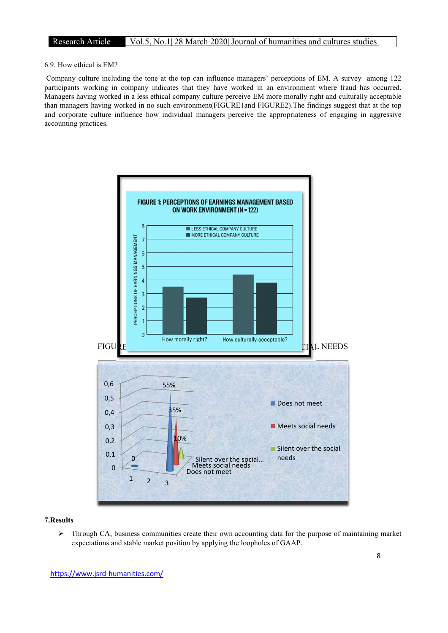### 6.9. How ethical is EM?

 Company culture including the tone at the top can influence managers' perceptions of EM. A survey among 122 participants working in company indicates that they have worked in an environment where fraud has occurred. Managers having worked in a less ethical company culture perceive EM more morally right and culturally acceptable than managers having worked in no such environment(FIGURE1and FIGURE2).The findings suggest that at the top and corporate culture influence how individual managers perceive the appropriateness of engaging in aggressive accounting practices.



### 7.Results

 $\triangleright$  Through CA, business communities create their own accounting data for the purpose of maintaining market expectations and stable market position by applying the loopholes of GAAP.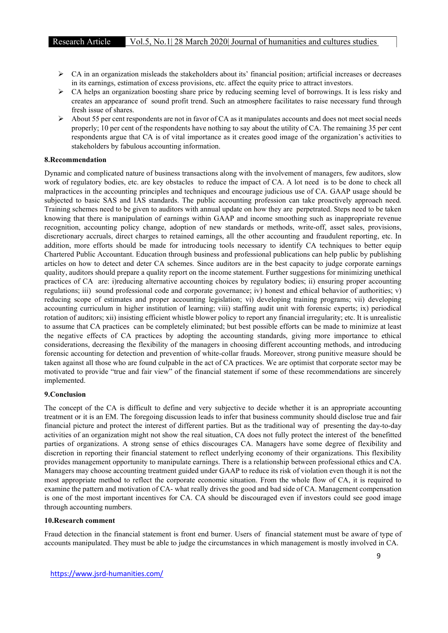- $\triangleright$  CA in an organization misleads the stakeholders about its' financial position; artificial increases or decreases in its earnings, estimation of excess provisions, etc. affect the equity price to attract investors.
- $\triangleright$  CA helps an organization boosting share price by reducing seeming level of borrowings. It is less risky and creates an appearance of sound profit trend. Such an atmosphere facilitates to raise necessary fund through fresh issue of shares.
- $\triangleright$  About 55 per cent respondents are not in favor of CA as it manipulates accounts and does not meet social needs properly; 10 per cent of the respondents have nothing to say about the utility of CA. The remaining 35 per cent respondents argue that CA is of vital importance as it creates good image of the organization's activities to stakeholders by fabulous accounting information.

### 8.Recommendation

Dynamic and complicated nature of business transactions along with the involvement of managers, few auditors, slow work of regulatory bodies, etc. are key obstacles to reduce the impact of CA. A lot need is to be done to check all malpractices in the accounting principles and techniques and encourage judicious use of CA. GAAP usage should be subjected to basic SAS and IAS standards. The public accounting profession can take proactively approach need. Training schemes need to be given to auditors with annual update on how they are perpetrated. Steps need to be taken knowing that there is manipulation of earnings within GAAP and income smoothing such as inappropriate revenue recognition, accounting policy change, adoption of new standards or methods, write-off, asset sales, provisions, discretionary accruals, direct charges to retained earnings, all the other accounting and fraudulent reporting, etc. In addition, more efforts should be made for introducing tools necessary to identify CA techniques to better equip Chartered Public Accountant. Education through business and professional publications can help public by publishing articles on how to detect and deter CA schemes. Since auditors are in the best capacity to judge corporate earnings quality, auditors should prepare a quality report on the income statement. Further suggestions for minimizing unethical practices of CA are: i)reducing alternative accounting choices by regulatory bodies; ii) ensuring proper accounting regulations; iii) sound professional code and corporate governance; iv) honest and ethical behavior of authorities; v) reducing scope of estimates and proper accounting legislation; vi) developing training programs; vii) developing accounting curriculum in higher institution of learning; viii) staffing audit unit with forensic experts; ix) periodical rotation of auditors; xii) insisting efficient whistle blower policy to report any financial irregularity; etc. It is unrealistic to assume that CA practices can be completely eliminated; but best possible efforts can be made to minimize at least the negative effects of CA practices by adopting the accounting standards, giving more importance to ethical considerations, decreasing the flexibility of the managers in choosing different accounting methods, and introducing forensic accounting for detection and prevention of white-collar frauds. Moreover, strong punitive measure should be taken against all those who are found culpable in the act of CA practices. We are optimist that corporate sector may be motivated to provide "true and fair view" of the financial statement if some of these recommendations are sincerely implemented.

### 9.Conclusion

The concept of the CA is difficult to define and very subjective to decide whether it is an appropriate accounting treatment or it is an EM. The foregoing discussion leads to infer that business community should disclose true and fair financial picture and protect the interest of different parties. But as the traditional way of presenting the day-to-day activities of an organization might not show the real situation, CA does not fully protect the interest of the benefitted parties of organizations. A strong sense of ethics discourages CA. Managers have some degree of flexibility and discretion in reporting their financial statement to reflect underlying economy of their organizations. This flexibility provides management opportunity to manipulate earnings. There is a relationship between professional ethics and CA. Managers may choose accounting treatment guided under GAAP to reduce its risk of violation even though it is not the most appropriate method to reflect the corporate economic situation. From the whole flow of CA, it is required to examine the pattern and motivation of CA- what really drives the good and bad side of CA. Management compensation is one of the most important incentives for CA. CA should be discouraged even if investors could see good image through accounting numbers.

#### 10.Research comment

Fraud detection in the financial statement is front end burner. Users of financial statement must be aware of type of accounts manipulated. They must be able to judge the circumstances in which management is mostly involved in CA.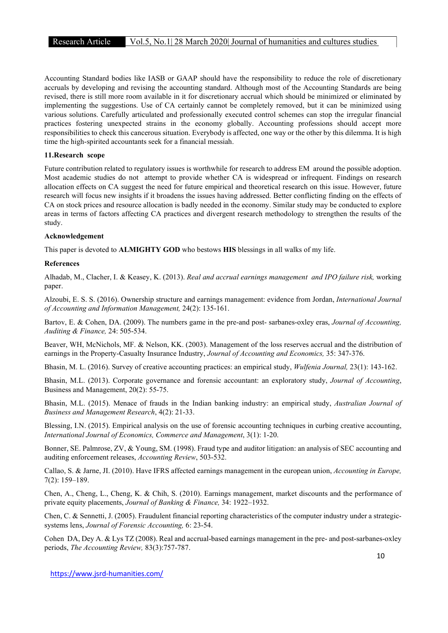Accounting Standard bodies like IASB or GAAP should have the responsibility to reduce the role of discretionary accruals by developing and revising the accounting standard. Although most of the Accounting Standards are being revised, there is still more room available in it for discretionary accrual which should be minimized or eliminated by implementing the suggestions. Use of CA certainly cannot be completely removed, but it can be minimized using various solutions. Carefully articulated and professionally executed control schemes can stop the irregular financial practices fostering unexpected strains in the economy globally. Accounting professions should accept more responsibilities to check this cancerous situation. Everybody is affected, one way or the other by this dilemma. It is high time the high-spirited accountants seek for a financial messiah.

### 11.Research scope

Future contribution related to regulatory issues is worthwhile for research to address EM around the possible adoption. Most academic studies do not attempt to provide whether CA is widespread or infrequent. Findings on research allocation effects on CA suggest the need for future empirical and theoretical research on this issue. However, future research will focus new insights if it broadens the issues having addressed. Better conflicting finding on the effects of CA on stock prices and resource allocation is badly needed in the economy. Similar study may be conducted to explore areas in terms of factors affecting CA practices and divergent research methodology to strengthen the results of the study.

### Acknowledgement

This paper is devoted to ALMIGHTY GOD who bestows HIS blessings in all walks of my life.

#### References

Alhadab, M., Clacher, I. & Keasey, K. (2013). Real and accrual earnings management and IPO failure risk, working paper.

Alzoubi, E. S. S. (2016). Ownership structure and earnings management: evidence from Jordan, International Journal of Accounting and Information Management, 24(2): 135-161.

Bartov, E. & Cohen, DA. (2009). The numbers game in the pre-and post-sarbanes-oxley eras, Journal of Accounting, Auditing & Finance, 24: 505-534.

Beaver, WH, McNichols, MF. & Nelson, KK. (2003). Management of the loss reserves accrual and the distribution of earnings in the Property-Casualty Insurance Industry, *Journal of Accounting and Economics*, 35: 347-376.

Bhasin, M. L. (2016). Survey of creative accounting practices: an empirical study, *Wulfenia Journal*, 23(1): 143-162.

Bhasin, M.L. (2013). Corporate governance and forensic accountant: an exploratory study, Journal of Accounting, Business and Management, 20(2): 55-75.

Bhasin, M.L. (2015). Menace of frauds in the Indian banking industry: an empirical study, Australian Journal of Business and Management Research, 4(2): 21-33.

Blessing, I.N. (2015). Empirical analysis on the use of forensic accounting techniques in curbing creative accounting, International Journal of Economics, Commerce and Management, 3(1): 1-20.

Bonner, SE. Palmrose, ZV, & Young, SM. (1998). Fraud type and auditor litigation: an analysis of SEC accounting and auditing enforcement releases, Accounting Review, 503-532.

Callao, S. & Jarne, JI. (2010). Have IFRS affected earnings management in the european union, Accounting in Europe, 7(2): 159–189.

Chen, A., Cheng, L., Cheng, K. & Chih, S. (2010). Earnings management, market discounts and the performance of private equity placements, Journal of Banking & Finance, 34: 1922–1932.

Chen, C. & Sennetti, J. (2005). Fraudulent financial reporting characteristics of the computer industry under a strategicsystems lens, Journal of Forensic Accounting, 6: 23-54.

Cohen DA, Dey A. & Lys TZ (2008). Real and accrual-based earnings management in the pre- and post-sarbanes-oxley periods, The Accounting Review, 83(3):757-787.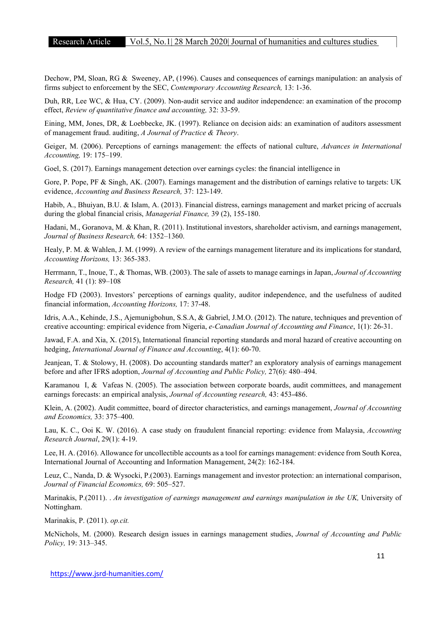Dechow, PM, Sloan, RG & Sweeney, AP, (1996). Causes and consequences of earnings manipulation: an analysis of firms subject to enforcement by the SEC, Contemporary Accounting Research, 13: 1-36.

Duh, RR, Lee WC, & Hua, CY. (2009). Non-audit service and auditor independence: an examination of the procomp effect, Review of quantitative finance and accounting, 32: 33-59.

Eining, MM, Jones, DR, & Loebbecke, JK. (1997). Reliance on decision aids: an examination of auditors assessment of management fraud. auditing, A Journal of Practice & Theory.

Geiger, M. (2006). Perceptions of earnings management: the effects of national culture, Advances in International Accounting, 19: 175–199.

Goel, S. (2017). Earnings management detection over earnings cycles: the financial intelligence in

Gore, P. Pope, PF & Singh, AK. (2007). Earnings management and the distribution of earnings relative to targets: UK evidence, Accounting and Business Research, 37: 123-149.

Habib, A., Bhuiyan, B.U. & Islam, A. (2013). Financial distress, earnings management and market pricing of accruals during the global financial crisis, Managerial Finance, 39 (2), 155-180.

Hadani, M., Goranova, M. & Khan, R. (2011). Institutional investors, shareholder activism, and earnings management, Journal of Business Research, 64: 1352–1360.

Healy, P. M. & Wahlen, J. M. (1999). A review of the earnings management literature and its implications for standard, Accounting Horizons, 13: 365-383.

Herrmann, T., Inoue, T., & Thomas, WB. (2003). The sale of assets to manage earnings in Japan, Journal of Accounting Research, 41 (1): 89–108

Hodge FD (2003). Investors' perceptions of earnings quality, auditor independence, and the usefulness of audited financial information, Accounting Horizons, 17: 37-48.

Idris, A.A., Kehinde, J.S., Ajemunigbohun, S.S.A, & Gabriel, J.M.O. (2012). The nature, techniques and prevention of creative accounting: empirical evidence from Nigeria, e-Canadian Journal of Accounting and Finance, 1(1): 26-31.

Jawad, F.A. and Xia, X. (2015), International financial reporting standards and moral hazard of creative accounting on hedging, International Journal of Finance and Accounting, 4(1): 60-70.

Jeanjean, T. & Stolowy, H. (2008). Do accounting standards matter? an exploratory analysis of earnings management before and after IFRS adoption, Journal of Accounting and Public Policy, 27(6): 480–494.

Karamanou I, & Vafeas N. (2005). The association between corporate boards, audit committees, and management earnings forecasts: an empirical analysis, Journal of Accounting research, 43: 453-486.

Klein, A. (2002). Audit committee, board of director characteristics, and earnings management, Journal of Accounting and Economics, 33: 375–400.

Lau, K. C., Ooi K. W. (2016). A case study on fraudulent financial reporting: evidence from Malaysia, Accounting Research Journal, 29(1): 4-19.

Lee, H. A. (2016). Allowance for uncollectible accounts as a tool for earnings management: evidence from South Korea, International Journal of Accounting and Information Management, 24(2): 162-184.

Leuz, C., Nanda, D. & Wysocki, P.(2003). Earnings management and investor protection: an international comparison, Journal of Financial Economics, 69: 505–527.

Marinakis, P.(2011). . An investigation of earnings management and earnings manipulation in the UK, University of Nottingham.

Marinakis, P. (2011). op.cit.

McNichols, M. (2000). Research design issues in earnings management studies, Journal of Accounting and Public Policy, 19: 313–345.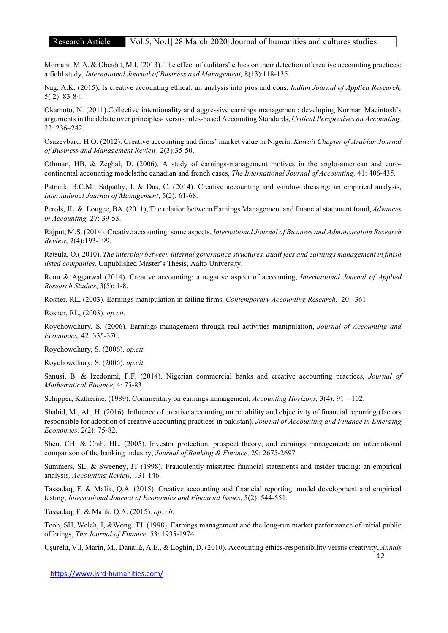### Research Article Vol.5, No.1| 28 March 2020| Journal of humanities and cultures studies

Momani, M.A. & Obeidat, M.I. (2013). The effect of auditors' ethics on their detection of creative accounting practices: a field study, International Journal of Business and Management, 8(13):118-135.

Nag, A.K. (2015), Is creative accounting ethical: an analysis into pros and cons, Indian Journal of Applied Research, 5( 2): 83-84.

Okamoto, N. (2011).Collective intentionality and aggressive earnings management: developing Norman Macintosh's arguments in the debate over principles- versus rules-based Accounting Standards, Critical Perspectives on Accounting, 22: 236–242.

Osazevbaru, H.O. (2012). Creative accounting and firms' market value in Nigeria, Kuwait Chapter of Arabian Journal of Business and Management Review, 2(3):35-50.

Othman, HB, & Zeghal, D. (2006). A study of earnings-management motives in the anglo-american and eurocontinental accounting models:the canadian and french cases, The International Journal of Accounting, 41: 406-435.

Patnaik, B.C.M., Satpathy, I. & Das, C. (2014). Creative accounting and window dressing: an empirical analysis, International Journal of Management, 5(2): 61-68.

Perols, JL. & Lougee, BA. (2011), The relation between Earnings Management and financial statement fraud, Advances in Accounting, 27: 39-53.

Rajput, M.S. (2014). Creative accounting: some aspects, International Journal of Business and Administration Research Review, 2(4):193-199.

Ratsula, O.( 2010). The interplay between internal governance structures, audit fees and earnings management in finish listed companies, Unpublished Master's Thesis, Aalto University.

Renu & Aggarwal (2014). Creative accounting: a negative aspect of accounting, International Journal of Applied Research Studies, 3(5): 1-8.

Rosner, RL, (2003). Earnings manipulation in failing firms, Contemporary Accounting Research, 20: 361.

Rosner, RL, (2003). op.cit.

Roychowdhury, S. (2006). Earnings management through real activities manipulation, *Journal of Accounting and* Economics, 42: 335-370.

Roychowdhury, S. (2006). op.cit.

Roychowdhury, S. (2006). op.cit.

Sanusi, B. & Izedonmi, P.F. (2014). Nigerian commercial banks and creative accounting practices, Journal of Mathematical Finance, 4: 75-83.

Schipper, Katherine, (1989). Commentary on earnings management, Accounting Horizons, 3(4): 91 – 102.

Shahid, M., Ali, H. (2016). Influence of creative accounting on reliability and objectivity of financial reporting (factors responsible for adoption of creative accounting practices in pakistan), Journal of Accounting and Finance in Emerging Economies, 2(2): 75-82.

Shen. CH. & Chih, HL. (2005). Investor protection, prospect theory, and earnings management: an international comparison of the banking industry, Journal of Banking & Finance, 29: 2675-2697.

Summers, SL, & Sweeney, JT (1998). Fraudulently misstated financial statements and insider trading: an empirical analysis, Accounting Review, 131-146.

Tassadaq, F. & Malik, Q.A. (2015). Creative accounting and financial reporting: model development and empirical testing, International Journal of Economics and Financial Issues, 5(2): 544-551.

Tassadaq, F. & Malik, Q.A. (2015). op. cit.

Teoh, SH, Welch, I, &Wong. TJ. (1998). Earnings management and the long-run market performance of initial public offerings, The Journal of Finance, 53: 1935-1974.

Uşurelu, V.I, Marin, M., Danailă, A.E., & Loghin, D. (2010), Accounting ethics-responsibility versus creativity, Annals